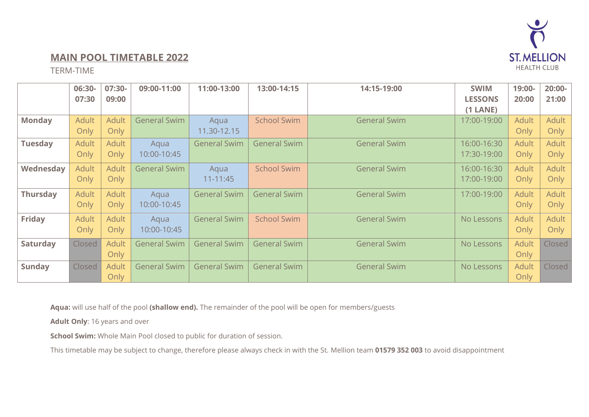

## **MAIN POOL TIMETABLE 2022**

TERM-TIME

|                 | 06:30-       | 07:30-       | 09:00-11:00         | 11:00-13:00         | 13:00-14:15         | 14:15-19:00         | <b>SWIM</b>    | 19:00-       | $20:00 -$    |
|-----------------|--------------|--------------|---------------------|---------------------|---------------------|---------------------|----------------|--------------|--------------|
|                 | 07:30        | 09:00        |                     |                     |                     |                     | <b>LESSONS</b> | 20:00        | 21:00        |
|                 |              |              |                     |                     |                     |                     | $(1$ LANE)     |              |              |
| <b>Monday</b>   | <b>Adult</b> | <b>Adult</b> | <b>General Swim</b> | Aqua                | <b>School Swim</b>  | <b>General Swim</b> | 17:00-19:00    | <b>Adult</b> | <b>Adult</b> |
|                 | Only         | Only         |                     | 11.30-12.15         |                     |                     |                | Only         | Only         |
| <b>Tuesday</b>  | <b>Adult</b> | <b>Adult</b> | Aqua                | <b>General Swim</b> | <b>General Swim</b> | <b>General Swim</b> | 16:00-16:30    | <b>Adult</b> | <b>Adult</b> |
|                 | Only         | Only         | 10:00-10:45         |                     |                     |                     | 17:30-19:00    | Only         | Only         |
| Wednesday       | <b>Adult</b> | <b>Adult</b> | <b>General Swim</b> | Aqua                | <b>School Swim</b>  | <b>General Swim</b> | 16:00-16:30    | <b>Adult</b> | <b>Adult</b> |
|                 | Only         | Only         |                     | $11 - 11:45$        |                     |                     | 17:00-19:00    | Only         | Only         |
| <b>Thursday</b> | <b>Adult</b> | <b>Adult</b> | Aqua                | <b>General Swim</b> | <b>General Swim</b> | <b>General Swim</b> | 17:00-19:00    | <b>Adult</b> | <b>Adult</b> |
|                 | Only         | Only         | 10:00-10:45         |                     |                     |                     |                | Only         | Only         |
| <b>Friday</b>   | <b>Adult</b> | <b>Adult</b> | Aqua                | <b>General Swim</b> | <b>School Swim</b>  | <b>General Swim</b> | No Lessons     | <b>Adult</b> | <b>Adult</b> |
|                 | Only         | Only         | 10:00-10:45         |                     |                     |                     |                | Only         | Only         |
| <b>Saturday</b> | Closed       | <b>Adult</b> | <b>General Swim</b> | <b>General Swim</b> | <b>General Swim</b> | <b>General Swim</b> | No Lessons     | <b>Adult</b> | Closed       |
|                 |              | Only         |                     |                     |                     |                     |                | Only         |              |
| <b>Sunday</b>   | Closed       | <b>Adult</b> | <b>General Swim</b> | <b>General Swim</b> | <b>General Swim</b> | <b>General Swim</b> | No Lessons     | <b>Adult</b> | Closed       |
|                 |              | Only         |                     |                     |                     |                     |                | Only         |              |

**Aqua:** will use half of the pool **(shallow end).** The remainder of the pool will be open for members/guests

**Adult Only**: 16 years and over

**School Swim:** Whole Main Pool closed to public for duration of session.

This timetable may be subject to change, therefore please always check in with the St. Mellion team **01579 352 003** to avoid disappointment